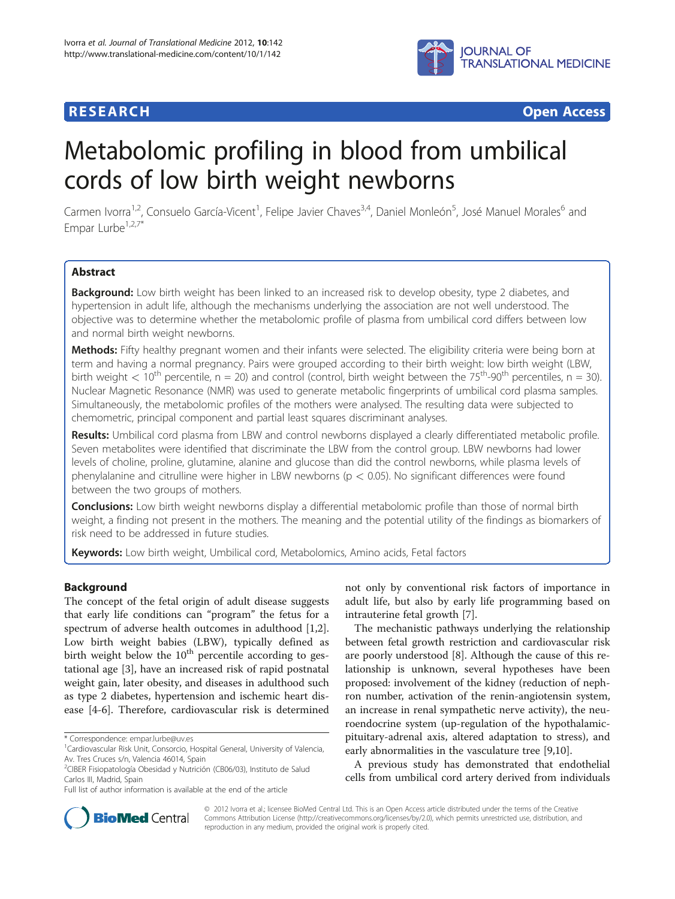## **JOURNAL OF TRANSLATIONAL MEDICINE**

**RESEARCH RESEARCH** *CHECKER CHECKER CHECKER CHECKER CHECKER CHECKER CHECKER CHECKER CHECKER CHECKER CHECKER* 

# Metabolomic profiling in blood from umbilical cords of low birth weight newborns

Carmen Ivorra<sup>1,2</sup>, Consuelo García-Vicent<sup>1</sup>, Felipe Javier Chaves<sup>3,4</sup>, Daniel Monleón<sup>5</sup>, José Manuel Morales<sup>6</sup> and Empar Lurbe $1,2,7$ <sup>\*</sup>

### Abstract

Background: Low birth weight has been linked to an increased risk to develop obesity, type 2 diabetes, and hypertension in adult life, although the mechanisms underlying the association are not well understood. The objective was to determine whether the metabolomic profile of plasma from umbilical cord differs between low and normal birth weight newborns.

Methods: Fifty healthy pregnant women and their infants were selected. The eligibility criteria were being born at term and having a normal pregnancy. Pairs were grouped according to their birth weight: low birth weight (LBW, birth weight  $< 10^{th}$  percentile, n = 20) and control (control, birth weight between the 75<sup>th</sup>-90<sup>th</sup> percentiles, n = 30). Nuclear Magnetic Resonance (NMR) was used to generate metabolic fingerprints of umbilical cord plasma samples. Simultaneously, the metabolomic profiles of the mothers were analysed. The resulting data were subjected to chemometric, principal component and partial least squares discriminant analyses.

Results: Umbilical cord plasma from LBW and control newborns displayed a clearly differentiated metabolic profile. Seven metabolites were identified that discriminate the LBW from the control group. LBW newborns had lower levels of choline, proline, glutamine, alanine and glucose than did the control newborns, while plasma levels of phenylalanine and citrulline were higher in LBW newborns ( $p < 0.05$ ). No significant differences were found between the two groups of mothers.

**Conclusions:** Low birth weight newborns display a differential metabolomic profile than those of normal birth weight, a finding not present in the mothers. The meaning and the potential utility of the findings as biomarkers of risk need to be addressed in future studies.

Keywords: Low birth weight, Umbilical cord, Metabolomics, Amino acids, Fetal factors

#### Background

The concept of the fetal origin of adult disease suggests that early life conditions can "program" the fetus for a spectrum of adverse health outcomes in adulthood [\[1,2](#page-8-0)]. Low birth weight babies (LBW), typically defined as birth weight below the  $10<sup>th</sup>$  percentile according to gestational age [\[3](#page-8-0)], have an increased risk of rapid postnatal weight gain, later obesity, and diseases in adulthood such as type 2 diabetes, hypertension and ischemic heart disease [\[4](#page-8-0)-[6\]](#page-8-0). Therefore, cardiovascular risk is determined

not only by conventional risk factors of importance in adult life, but also by early life programming based on intrauterine fetal growth [\[7\]](#page-8-0).

The mechanistic pathways underlying the relationship between fetal growth restriction and cardiovascular risk are poorly understood [[8\]](#page-8-0). Although the cause of this relationship is unknown, several hypotheses have been proposed: involvement of the kidney (reduction of nephron number, activation of the renin-angiotensin system, an increase in renal sympathetic nerve activity), the neuroendocrine system (up-regulation of the hypothalamicpituitary-adrenal axis, altered adaptation to stress), and early abnormalities in the vasculature tree [[9,10\]](#page-8-0).

A previous study has demonstrated that endothelial cells from umbilical cord artery derived from individuals



© 2012 Ivorra et al.; licensee BioMed Central Ltd. This is an Open Access article distributed under the terms of the Creative Commons Attribution License [\(http://creativecommons.org/licenses/by/2.0\)](http://creativecommons.org/licenses/by/2.0), which permits unrestricted use, distribution, and reproduction in any medium, provided the original work is properly cited.

<sup>\*</sup> Correspondence: [empar.lurbe@uv.es](mailto:empar.lurbe@uv.es) <sup>1</sup>

<sup>&</sup>lt;sup>1</sup>Cardiovascular Risk Unit, Consorcio, Hospital General, University of Valencia, Av. Tres Cruces s/n, Valencia 46014, Spain

<sup>&</sup>lt;sup>2</sup>CIBER Fisiopatología Obesidad y Nutrición (CB06/03), Instituto de Salud Carlos III, Madrid, Spain

Full list of author information is available at the end of the article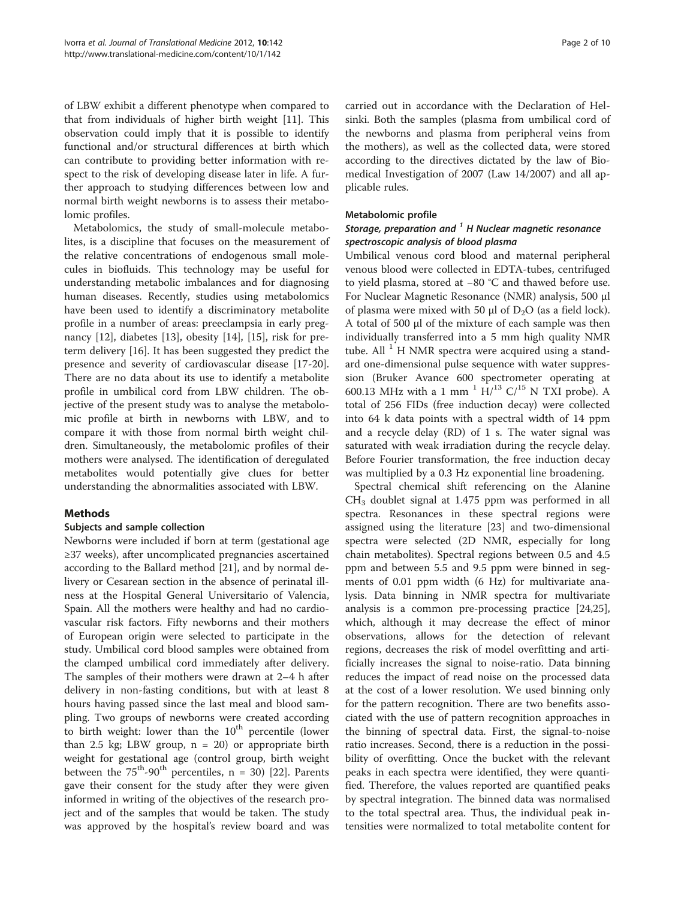of LBW exhibit a different phenotype when compared to that from individuals of higher birth weight [[11\]](#page-8-0). This observation could imply that it is possible to identify functional and/or structural differences at birth which can contribute to providing better information with respect to the risk of developing disease later in life. A further approach to studying differences between low and normal birth weight newborns is to assess their metabolomic profiles.

Metabolomics, the study of small-molecule metabolites, is a discipline that focuses on the measurement of the relative concentrations of endogenous small molecules in biofluids. This technology may be useful for understanding metabolic imbalances and for diagnosing human diseases. Recently, studies using metabolomics have been used to identify a discriminatory metabolite profile in a number of areas: preeclampsia in early pregnancy [\[12](#page-8-0)], diabetes [[13\]](#page-8-0), obesity [[14](#page-8-0)], [\[15](#page-8-0)], risk for preterm delivery [[16\]](#page-8-0). It has been suggested they predict the presence and severity of cardiovascular disease [\[17-20](#page-9-0)]. There are no data about its use to identify a metabolite profile in umbilical cord from LBW children. The objective of the present study was to analyse the metabolomic profile at birth in newborns with LBW, and to compare it with those from normal birth weight children. Simultaneously, the metabolomic profiles of their mothers were analysed. The identification of deregulated metabolites would potentially give clues for better understanding the abnormalities associated with LBW.

#### **Methods**

#### Subjects and sample collection

Newborns were included if born at term (gestational age ≥37 weeks), after uncomplicated pregnancies ascertained according to the Ballard method [\[21\]](#page-9-0), and by normal delivery or Cesarean section in the absence of perinatal illness at the Hospital General Universitario of Valencia, Spain. All the mothers were healthy and had no cardiovascular risk factors. Fifty newborns and their mothers of European origin were selected to participate in the study. Umbilical cord blood samples were obtained from the clamped umbilical cord immediately after delivery. The samples of their mothers were drawn at 2–4 h after delivery in non-fasting conditions, but with at least 8 hours having passed since the last meal and blood sampling. Two groups of newborns were created according to birth weight: lower than the  $10<sup>th</sup>$  percentile (lower than 2.5 kg; LBW group,  $n = 20$  or appropriate birth weight for gestational age (control group, birth weight between the  $75<sup>th</sup>$ -90<sup>th</sup> percentiles, n = 30) [[22\]](#page-9-0). Parents gave their consent for the study after they were given informed in writing of the objectives of the research project and of the samples that would be taken. The study was approved by the hospital's review board and was carried out in accordance with the Declaration of Helsinki. Both the samples (plasma from umbilical cord of the newborns and plasma from peripheral veins from the mothers), as well as the collected data, were stored according to the directives dictated by the law of Biomedical Investigation of 2007 (Law 14/2007) and all applicable rules.

#### Metabolomic profile

#### Storage, preparation and  $<sup>1</sup>$  H Nuclear magnetic resonance</sup> spectroscopic analysis of blood plasma

Umbilical venous cord blood and maternal peripheral venous blood were collected in EDTA-tubes, centrifuged to yield plasma, stored at −80 °C and thawed before use. For Nuclear Magnetic Resonance (NMR) analysis, 500 μl of plasma were mixed with 50 μl of  $D_2O$  (as a field lock). A total of 500 μl of the mixture of each sample was then individually transferred into a 5 mm high quality NMR tube. All  $<sup>1</sup>$  H NMR spectra were acquired using a stand-</sup> ard one-dimensional pulse sequence with water suppression (Bruker Avance 600 spectrometer operating at 600.13 MHz with a 1 mm  $^{1}$  H/ $^{13}$  C/ $^{15}$  N TXI probe). A total of 256 FIDs (free induction decay) were collected into 64 k data points with a spectral width of 14 ppm and a recycle delay (RD) of 1 s. The water signal was saturated with weak irradiation during the recycle delay. Before Fourier transformation, the free induction decay was multiplied by a 0.3 Hz exponential line broadening.

Spectral chemical shift referencing on the Alanine  $CH<sub>3</sub>$  doublet signal at 1.475 ppm was performed in all spectra. Resonances in these spectral regions were assigned using the literature [[23\]](#page-9-0) and two-dimensional spectra were selected (2D NMR, especially for long chain metabolites). Spectral regions between 0.5 and 4.5 ppm and between 5.5 and 9.5 ppm were binned in segments of 0.01 ppm width (6 Hz) for multivariate analysis. Data binning in NMR spectra for multivariate analysis is a common pre-processing practice [\[24,25](#page-9-0)], which, although it may decrease the effect of minor observations, allows for the detection of relevant regions, decreases the risk of model overfitting and artificially increases the signal to noise-ratio. Data binning reduces the impact of read noise on the processed data at the cost of a lower resolution. We used binning only for the pattern recognition. There are two benefits associated with the use of pattern recognition approaches in the binning of spectral data. First, the signal-to-noise ratio increases. Second, there is a reduction in the possibility of overfitting. Once the bucket with the relevant peaks in each spectra were identified, they were quantified. Therefore, the values reported are quantified peaks by spectral integration. The binned data was normalised to the total spectral area. Thus, the individual peak intensities were normalized to total metabolite content for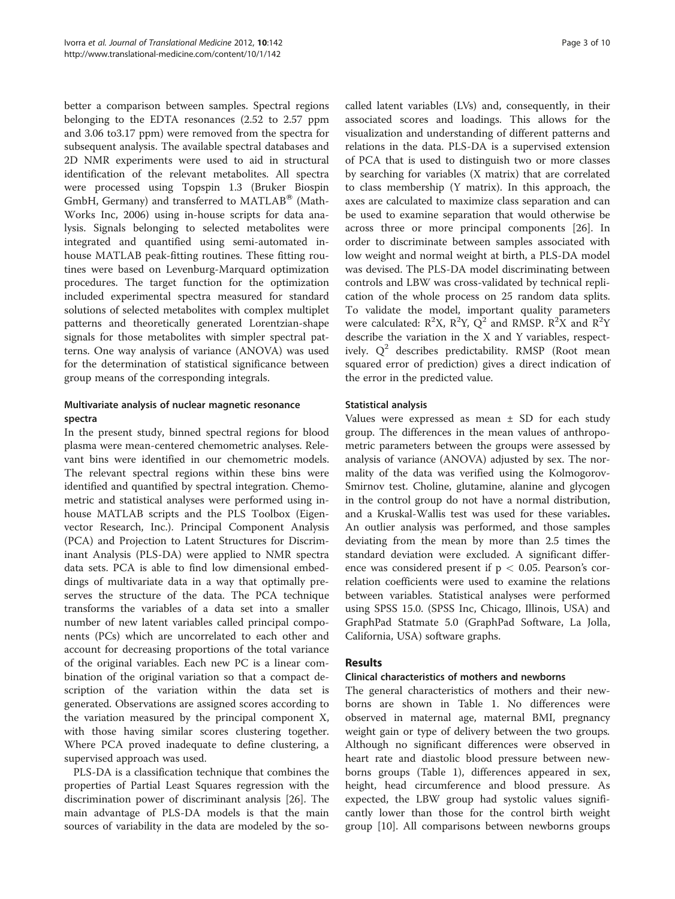better a comparison between samples. Spectral regions belonging to the EDTA resonances (2.52 to 2.57 ppm and 3.06 to3.17 ppm) were removed from the spectra for subsequent analysis. The available spectral databases and 2D NMR experiments were used to aid in structural identification of the relevant metabolites. All spectra were processed using Topspin 1.3 (Bruker Biospin GmbH, Germany) and transferred to  $MATLAB^@$  (Math-Works Inc, 2006) using in-house scripts for data analysis. Signals belonging to selected metabolites were integrated and quantified using semi-automated inhouse MATLAB peak-fitting routines. These fitting routines were based on Levenburg-Marquard optimization procedures. The target function for the optimization included experimental spectra measured for standard solutions of selected metabolites with complex multiplet patterns and theoretically generated Lorentzian-shape signals for those metabolites with simpler spectral patterns. One way analysis of variance (ANOVA) was used for the determination of statistical significance between group means of the corresponding integrals.

#### Multivariate analysis of nuclear magnetic resonance spectra

In the present study, binned spectral regions for blood plasma were mean-centered chemometric analyses. Relevant bins were identified in our chemometric models. The relevant spectral regions within these bins were identified and quantified by spectral integration. Chemometric and statistical analyses were performed using inhouse MATLAB scripts and the PLS Toolbox (Eigenvector Research, Inc.). Principal Component Analysis (PCA) and Projection to Latent Structures for Discriminant Analysis (PLS-DA) were applied to NMR spectra data sets. PCA is able to find low dimensional embeddings of multivariate data in a way that optimally preserves the structure of the data. The PCA technique transforms the variables of a data set into a smaller number of new latent variables called principal components (PCs) which are uncorrelated to each other and account for decreasing proportions of the total variance of the original variables. Each new PC is a linear combination of the original variation so that a compact description of the variation within the data set is generated. Observations are assigned scores according to the variation measured by the principal component X, with those having similar scores clustering together. Where PCA proved inadequate to define clustering, a supervised approach was used.

PLS-DA is a classification technique that combines the properties of Partial Least Squares regression with the discrimination power of discriminant analysis [\[26\]](#page-9-0). The main advantage of PLS-DA models is that the main sources of variability in the data are modeled by the so-

called latent variables (LVs) and, consequently, in their associated scores and loadings. This allows for the visualization and understanding of different patterns and relations in the data. PLS-DA is a supervised extension of PCA that is used to distinguish two or more classes by searching for variables (X matrix) that are correlated to class membership (Y matrix). In this approach, the axes are calculated to maximize class separation and can be used to examine separation that would otherwise be across three or more principal components [\[26](#page-9-0)]. In order to discriminate between samples associated with low weight and normal weight at birth, a PLS-DA model was devised. The PLS-DA model discriminating between controls and LBW was cross-validated by technical replication of the whole process on 25 random data splits. To validate the model, important quality parameters were calculated:  $R^2X$ ,  $R^2Y$ ,  $Q^2$  and RMSP.  $R^2X$  and  $R^2Y$ describe the variation in the X and Y variables, respectively.  $Q^2$  describes predictability. RMSP (Root mean squared error of prediction) gives a direct indication of the error in the predicted value.

#### Statistical analysis

Values were expressed as mean  $\pm$  SD for each study group. The differences in the mean values of anthropometric parameters between the groups were assessed by analysis of variance (ANOVA) adjusted by sex. The normality of the data was verified using the Kolmogorov-Smirnov test. Choline, glutamine, alanine and glycogen in the control group do not have a normal distribution, and a Kruskal-Wallis test was used for these variables. An outlier analysis was performed, and those samples deviating from the mean by more than 2.5 times the standard deviation were excluded. A significant difference was considered present if  $p < 0.05$ . Pearson's correlation coefficients were used to examine the relations between variables. Statistical analyses were performed using SPSS 15.0. (SPSS Inc, Chicago, Illinois, USA) and GraphPad Statmate 5.0 (GraphPad Software, La Jolla, California, USA) software graphs.

#### Results

#### Clinical characteristics of mothers and newborns

The general characteristics of mothers and their newborns are shown in Table [1.](#page-3-0) No differences were observed in maternal age, maternal BMI, pregnancy weight gain or type of delivery between the two groups. Although no significant differences were observed in heart rate and diastolic blood pressure between newborns groups (Table [1](#page-3-0)), differences appeared in sex, height, head circumference and blood pressure. As expected, the LBW group had systolic values significantly lower than those for the control birth weight group [\[10](#page-8-0)]. All comparisons between newborns groups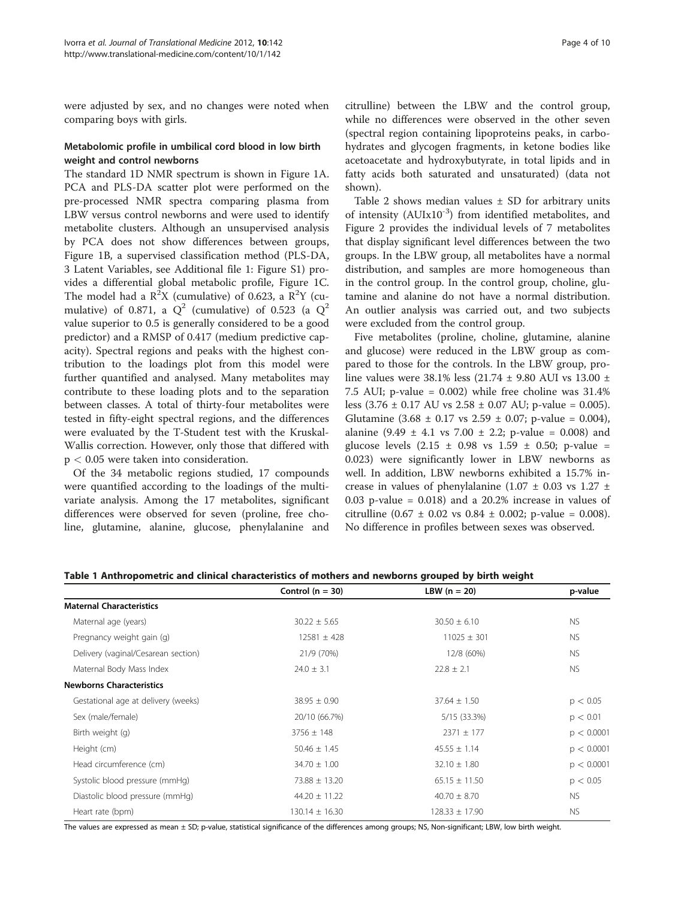<span id="page-3-0"></span>were adjusted by sex, and no changes were noted when comparing boys with girls.

#### Metabolomic profile in umbilical cord blood in low birth weight and control newborns

The standard 1D NMR spectrum is shown in Figure [1](#page-4-0)A. PCA and PLS-DA scatter plot were performed on the pre-processed NMR spectra comparing plasma from LBW versus control newborns and were used to identify metabolite clusters. Although an unsupervised analysis by PCA does not show differences between groups, Figure [1](#page-4-0)B, a supervised classification method (PLS-DA, 3 Latent Variables, see Additional file [1](#page-8-0): Figure S1) provides a differential global metabolic profile, Figure [1C](#page-4-0). The model had a  $R^2X$  (cumulative) of 0.623, a  $R^2Y$  (cumulative) of 0.871, a  $Q^2$  (cumulative) of 0.523 (a  $Q^2$ value superior to 0.5 is generally considered to be a good predictor) and a RMSP of 0.417 (medium predictive capacity). Spectral regions and peaks with the highest contribution to the loadings plot from this model were further quantified and analysed. Many metabolites may contribute to these loading plots and to the separation between classes. A total of thirty-four metabolites were tested in fifty-eight spectral regions, and the differences were evaluated by the T-Student test with the Kruskal-Wallis correction. However, only those that differed with p < 0.05 were taken into consideration.

Of the 34 metabolic regions studied, 17 compounds were quantified according to the loadings of the multivariate analysis. Among the 17 metabolites, significant differences were observed for seven (proline, free choline, glutamine, alanine, glucose, phenylalanine and

citrulline) between the LBW and the control group, while no differences were observed in the other seven (spectral region containing lipoproteins peaks, in carbohydrates and glycogen fragments, in ketone bodies like acetoacetate and hydroxybutyrate, in total lipids and in fatty acids both saturated and unsaturated) (data not shown).

Table [2](#page-5-0) shows median values  $\pm$  SD for arbitrary units of intensity  $(AUIx10^{-3})$  from identified metabolites, and Figure [2](#page-5-0) provides the individual levels of 7 metabolites that display significant level differences between the two groups. In the LBW group, all metabolites have a normal distribution, and samples are more homogeneous than in the control group. In the control group, choline, glutamine and alanine do not have a normal distribution. An outlier analysis was carried out, and two subjects were excluded from the control group.

Five metabolites (proline, choline, glutamine, alanine and glucose) were reduced in the LBW group as compared to those for the controls. In the LBW group, proline values were 38.1% less (21.74 ± 9.80 AUI vs 13.00 ± 7.5 AUI; p-value = 0.002) while free choline was 31.4% less  $(3.76 \pm 0.17 \text{ AU} \text{ vs } 2.58 \pm 0.07 \text{ AU}; \text{ p-value } = 0.005).$ Glutamine  $(3.68 \pm 0.17 \text{ vs } 2.59 \pm 0.07; \text{ p-value } = 0.004)$ , alanine (9.49  $\pm$  4.1 vs 7.00  $\pm$  2.2; p-value = 0.008) and glucose levels  $(2.15 \pm 0.98 \text{ vs } 1.59 \pm 0.50; \text{ p-value } =$ 0.023) were significantly lower in LBW newborns as well. In addition, LBW newborns exhibited a 15.7% increase in values of phenylalanine (1.07  $\pm$  0.03 vs 1.27  $\pm$ 0.03 p-value =  $0.018$ ) and a 20.2% increase in values of citrulline  $(0.67 \pm 0.02 \text{ vs } 0.84 \pm 0.002; \text{ p-value } = 0.008)$ . No difference in profiles between sexes was observed.

|                                     | Control ( $n = 30$ ) | LBW $(n = 20)$     | p-value    |
|-------------------------------------|----------------------|--------------------|------------|
| <b>Maternal Characteristics</b>     |                      |                    |            |
| Maternal age (years)                | $30.22 \pm 5.65$     | $30.50 \pm 6.10$   | <b>NS</b>  |
| Pregnancy weight gain (g)           | $12581 \pm 428$      | $11025 \pm 301$    | <b>NS</b>  |
| Delivery (vaginal/Cesarean section) | 21/9 (70%)           | 12/8 (60%)         | <b>NS</b>  |
| Maternal Body Mass Index            | $24.0 \pm 3.1$       | $22.8 \pm 2.1$     | <b>NS</b>  |
| <b>Newborns Characteristics</b>     |                      |                    |            |
| Gestational age at delivery (weeks) | $38.95 \pm 0.90$     | $37.64 \pm 1.50$   | p < 0.05   |
| Sex (male/female)                   | 20/10 (66.7%)        | 5/15 (33.3%)       | p < 0.01   |
| Birth weight (g)                    | $3756 \pm 148$       | $2371 \pm 177$     | p < 0.0001 |
| Height (cm)                         | $50.46 \pm 1.45$     | $45.55 \pm 1.14$   | p < 0.0001 |
| Head circumference (cm)             | $34.70 \pm 1.00$     | $32.10 \pm 1.80$   | p < 0.0001 |
| Systolic blood pressure (mmHg)      | $73.88 \pm 13.20$    | $65.15 \pm 11.50$  | p < 0.05   |
| Diastolic blood pressure (mmHg)     | $44.20 \pm 11.22$    | $40.70 \pm 8.70$   | <b>NS</b>  |
| Heart rate (bpm)                    | $130.14 \pm 16.30$   | $128.33 \pm 17.90$ | <b>NS</b>  |

#### Table 1 Anthropometric and clinical characteristics of mothers and newborns grouped by birth weight

The values are expressed as mean ± SD; p-value, statistical significance of the differences among groups; NS, Non-significant; LBW, low birth weight.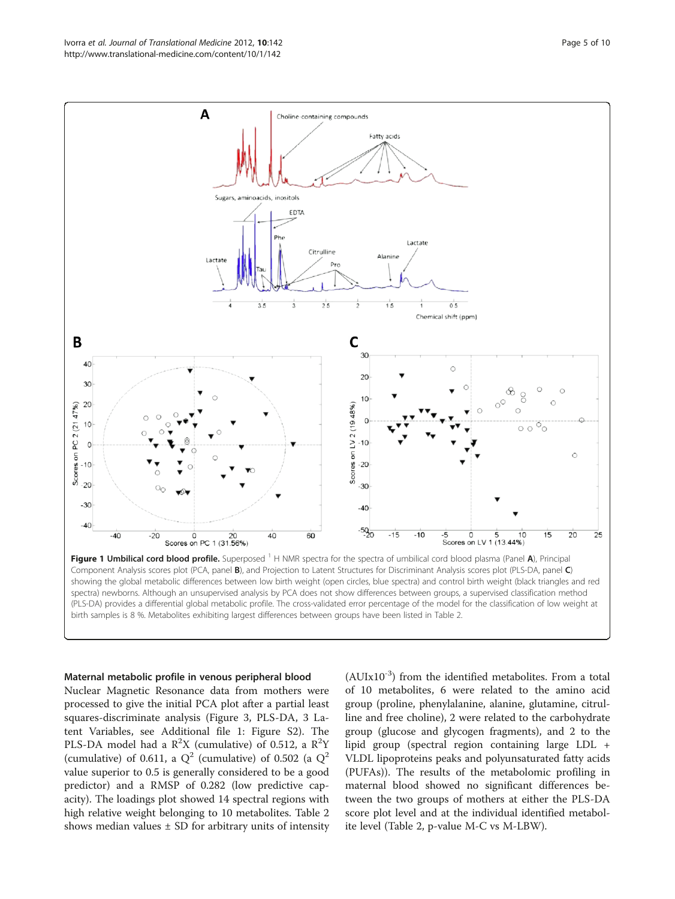<span id="page-4-0"></span>Ivorra et al. Journal of Translational Medicine 2012, 10:142 http://www.translational-medicine.com/content/10/1/142



(PLS-DA) provides a differential global metabolic profile. The cross-validated error percentage of the model for the classification of low weight at birth samples is 8 %. Metabolites exhibiting largest differences between groups have been listed in Table [2.](#page-5-0)

#### Maternal metabolic profile in venous peripheral blood

Nuclear Magnetic Resonance data from mothers were processed to give the initial PCA plot after a partial least squares-discriminate analysis (Figure [3,](#page-6-0) PLS-DA, 3 Latent Variables, see Additional file [1:](#page-8-0) Figure S2). The PLS-DA model had a  $R^2X$  (cumulative) of 0.512, a  $R^2Y$ (cumulative) of 0.611, a  $Q^2$  (cumulative) of 0.502 (a  $Q^2$ value superior to 0.5 is generally considered to be a good predictor) and a RMSP of 0.282 (low predictive capacity). The loadings plot showed 14 spectral regions with high relative weight belonging to 10 metabolites. Table [2](#page-5-0) shows median values  $\pm$  SD for arbitrary units of intensity

 $(AUIx10^{-3})$  from the identified metabolites. From a total of 10 metabolites, 6 were related to the amino acid group (proline, phenylalanine, alanine, glutamine, citrulline and free choline), 2 were related to the carbohydrate group (glucose and glycogen fragments), and 2 to the lipid group (spectral region containing large LDL + VLDL lipoproteins peaks and polyunsaturated fatty acids (PUFAs)). The results of the metabolomic profiling in maternal blood showed no significant differences between the two groups of mothers at either the PLS-DA score plot level and at the individual identified metabolite level (Table [2](#page-5-0), p-value M-C vs M-LBW).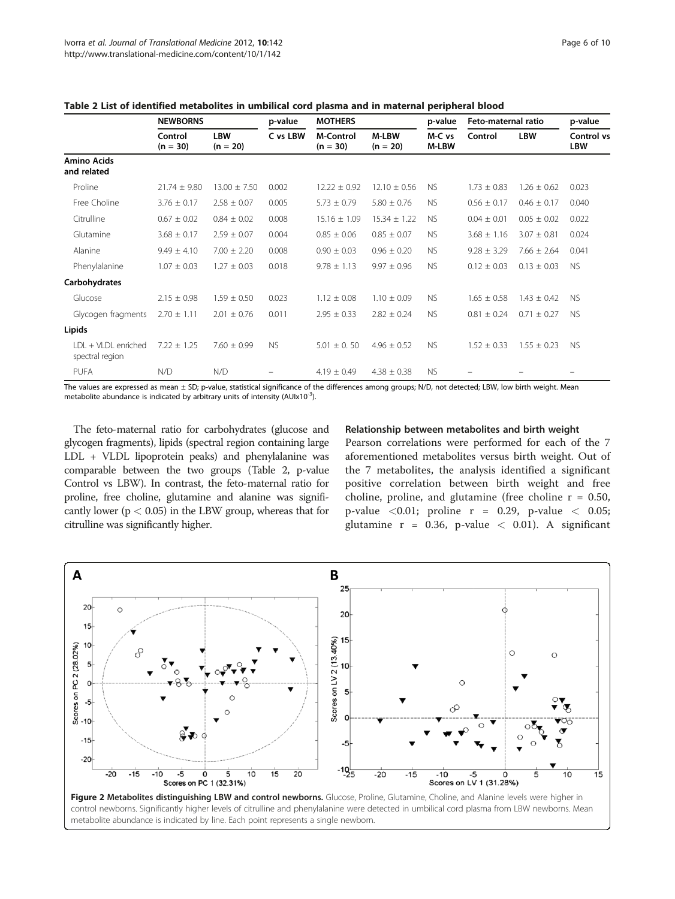|                                          | <b>NEWBORNS</b>       |                          | p-value   | <b>MOTHERS</b>                 |                     |                 | Feto-maternal ratio |                 | p-value                  |
|------------------------------------------|-----------------------|--------------------------|-----------|--------------------------------|---------------------|-----------------|---------------------|-----------------|--------------------------|
|                                          | Control<br>$(n = 30)$ | <b>LBW</b><br>$(n = 20)$ | C vs LBW  | <b>M-Control</b><br>$(n = 30)$ | M-LBW<br>$(n = 20)$ | M-C vs<br>M-LBW | Control             | <b>LBW</b>      | Control vs<br><b>LBW</b> |
| <b>Amino Acids</b><br>and related        |                       |                          |           |                                |                     |                 |                     |                 |                          |
| Proline                                  | $21.74 \pm 9.80$      | $13.00 \pm 7.50$         | 0.002     | $12.22 \pm 0.92$               | $12.10 \pm 0.56$    | <b>NS</b>       | $1.73 \pm 0.83$     | $1.26 \pm 0.62$ | 0.023                    |
| Free Choline                             | $3.76 \pm 0.17$       | $2.58 \pm 0.07$          | 0.005     | $5.73 \pm 0.79$                | $5.80 \pm 0.76$     | <b>NS</b>       | $0.56 \pm 0.17$     | $0.46 \pm 0.17$ | 0.040                    |
| Citrulline                               | $0.67 \pm 0.02$       | $0.84 + 0.02$            | 0.008     | $15.16 \pm 1.09$               | $15.34 + 1.22$      | <b>NS</b>       | $0.04 \pm 0.01$     | $0.05 + 0.02$   | 0.022                    |
| Glutamine                                | $3.68 \pm 0.17$       | $2.59 \pm 0.07$          | 0.004     | $0.85 \pm 0.06$                | $0.85 \pm 0.07$     | <b>NS</b>       | $3.68 \pm 1.16$     | $3.07 \pm 0.81$ | 0.024                    |
| Alanine                                  | $9.49 \pm 4.10$       | $7.00 \pm 2.20$          | 0.008     | $0.90 \pm 0.03$                | $0.96 \pm 0.20$     | <b>NS</b>       | $9.28 \pm 3.29$     | $7.66 \pm 2.64$ | 0.041                    |
| Phenylalanine                            | $1.07 \pm 0.03$       | $1.27 \pm 0.03$          | 0.018     | $9.78 \pm 1.13$                | $9.97 \pm 0.96$     | <b>NS</b>       | $0.12 \pm 0.03$     | $0.13 \pm 0.03$ | <b>NS</b>                |
| Carbohydrates                            |                       |                          |           |                                |                     |                 |                     |                 |                          |
| Glucose                                  | $2.15 \pm 0.98$       | $1.59 + 0.50$            | 0.023     | $1.12 \pm 0.08$                | $1.10 + 0.09$       | <b>NS</b>       | $1.65 \pm 0.58$     | $1.43 + 0.42$   | <b>NS</b>                |
| Glycogen fragments                       | $2.70 \pm 1.11$       | $2.01 \pm 0.76$          | 0.011     | $2.95 \pm 0.33$                | $2.82 \pm 0.24$     | <b>NS</b>       | $0.81 \pm 0.24$     | $0.71 \pm 0.27$ | <b>NS</b>                |
| Lipids                                   |                       |                          |           |                                |                     |                 |                     |                 |                          |
| $IDI + VIDI$ enriched<br>spectral region | $7.22 \pm 1.25$       | $7.60 + 0.99$            | <b>NS</b> | $5.01 \pm 0.50$                | $4.96 + 0.52$       | N <sub>S</sub>  | $1.52 \pm 0.33$     | $1.55 \pm 0.23$ | <b>NS</b>                |
| <b>PUFA</b>                              | N/D                   | N/D                      |           | $4.19 \pm 0.49$                | $4.38 \pm 0.38$     | <b>NS</b>       |                     |                 |                          |

<span id="page-5-0"></span>Table 2 List of identified metabolites in umbilical cord plasma and in maternal peripheral blood

The values are expressed as mean ± SD; p-value, statistical significance of the differences among groups; N/D, not detected; LBW, low birth weight. Mean metabolite abundance is indicated by arbitrary units of intensity (AUIx10<sup>-3</sup>).

The feto-maternal ratio for carbohydrates (glucose and glycogen fragments), lipids (spectral region containing large LDL + VLDL lipoprotein peaks) and phenylalanine was comparable between the two groups (Table 2, p-value Control vs LBW). In contrast, the feto-maternal ratio for proline, free choline, glutamine and alanine was significantly lower ( $p < 0.05$ ) in the LBW group, whereas that for citrulline was significantly higher.

#### Relationship between metabolites and birth weight

Pearson correlations were performed for each of the 7 aforementioned metabolites versus birth weight. Out of the 7 metabolites, the analysis identified a significant positive correlation between birth weight and free choline, proline, and glutamine (free choline  $r = 0.50$ , p-value  $\langle 0.01;$  proline  $r = 0.29$ , p-value  $\langle 0.05;$ glutamine  $r = 0.36$ , p-value  $\langle 0.01 \rangle$ . A significant

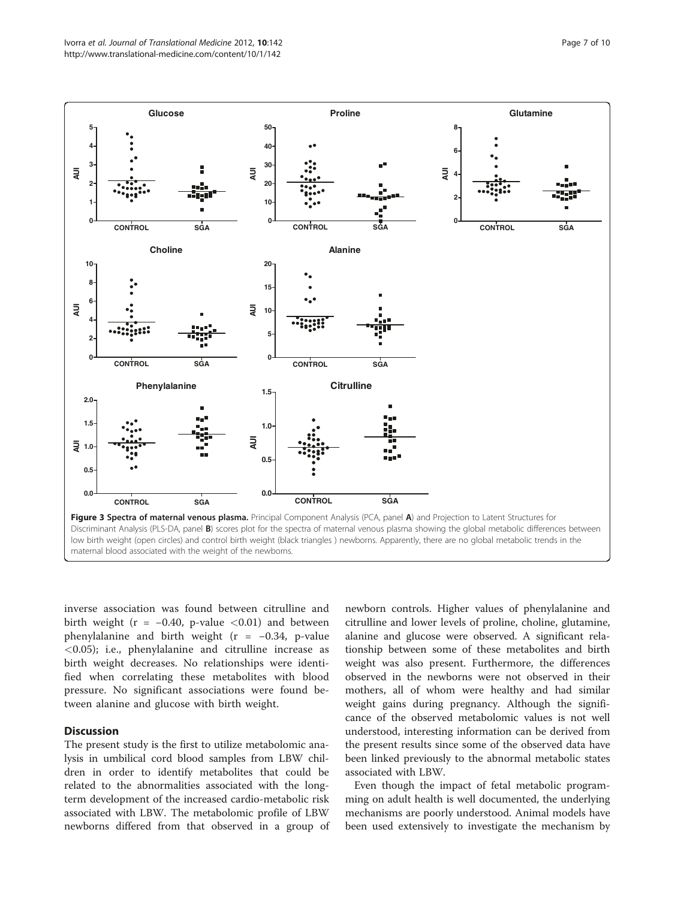<span id="page-6-0"></span>

inverse association was found between citrulline and birth weight ( $r = -0.40$ , p-value <0.01) and between phenylalanine and birth weight (r = −0.34, p-value <0.05); i.e., phenylalanine and citrulline increase as birth weight decreases. No relationships were identified when correlating these metabolites with blood pressure. No significant associations were found between alanine and glucose with birth weight.

#### **Discussion**

The present study is the first to utilize metabolomic analysis in umbilical cord blood samples from LBW children in order to identify metabolites that could be related to the abnormalities associated with the longterm development of the increased cardio-metabolic risk associated with LBW. The metabolomic profile of LBW newborns differed from that observed in a group of newborn controls. Higher values of phenylalanine and citrulline and lower levels of proline, choline, glutamine, alanine and glucose were observed. A significant relationship between some of these metabolites and birth weight was also present. Furthermore, the differences observed in the newborns were not observed in their mothers, all of whom were healthy and had similar weight gains during pregnancy. Although the significance of the observed metabolomic values is not well understood, interesting information can be derived from the present results since some of the observed data have been linked previously to the abnormal metabolic states associated with LBW.

Even though the impact of fetal metabolic programming on adult health is well documented, the underlying mechanisms are poorly understood. Animal models have been used extensively to investigate the mechanism by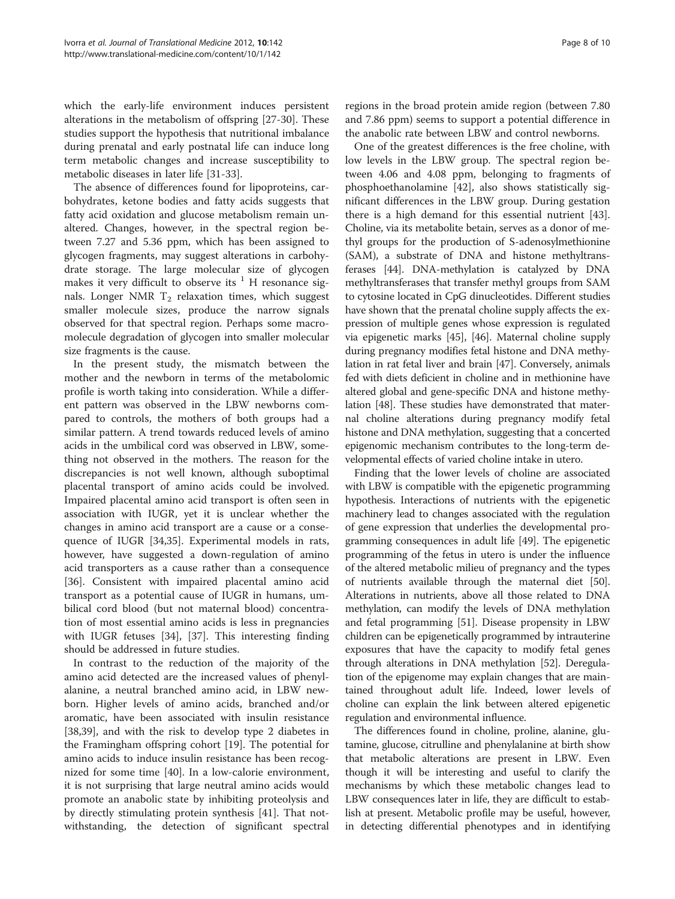which the early-life environment induces persistent alterations in the metabolism of offspring [\[27](#page-9-0)-[30\]](#page-9-0). These studies support the hypothesis that nutritional imbalance during prenatal and early postnatal life can induce long term metabolic changes and increase susceptibility to metabolic diseases in later life [\[31](#page-9-0)-[33\]](#page-9-0).

The absence of differences found for lipoproteins, carbohydrates, ketone bodies and fatty acids suggests that fatty acid oxidation and glucose metabolism remain unaltered. Changes, however, in the spectral region between 7.27 and 5.36 ppm, which has been assigned to glycogen fragments, may suggest alterations in carbohydrate storage. The large molecular size of glycogen makes it very difficult to observe its  $<sup>1</sup>$  H resonance sig-</sup> nals. Longer NMR  $T_2$  relaxation times, which suggest smaller molecule sizes, produce the narrow signals observed for that spectral region. Perhaps some macromolecule degradation of glycogen into smaller molecular size fragments is the cause.

In the present study, the mismatch between the mother and the newborn in terms of the metabolomic profile is worth taking into consideration. While a different pattern was observed in the LBW newborns compared to controls, the mothers of both groups had a similar pattern. A trend towards reduced levels of amino acids in the umbilical cord was observed in LBW, something not observed in the mothers. The reason for the discrepancies is not well known, although suboptimal placental transport of amino acids could be involved. Impaired placental amino acid transport is often seen in association with IUGR, yet it is unclear whether the changes in amino acid transport are a cause or a consequence of IUGR [\[34,35\]](#page-9-0). Experimental models in rats, however, have suggested a down-regulation of amino acid transporters as a cause rather than a consequence [[36\]](#page-9-0). Consistent with impaired placental amino acid transport as a potential cause of IUGR in humans, umbilical cord blood (but not maternal blood) concentration of most essential amino acids is less in pregnancies with IUGR fetuses [\[34](#page-9-0)], [\[37\]](#page-9-0). This interesting finding should be addressed in future studies.

In contrast to the reduction of the majority of the amino acid detected are the increased values of phenylalanine, a neutral branched amino acid, in LBW newborn. Higher levels of amino acids, branched and/or aromatic, have been associated with insulin resistance [[38,39\]](#page-9-0), and with the risk to develop type 2 diabetes in the Framingham offspring cohort [\[19](#page-9-0)]. The potential for amino acids to induce insulin resistance has been recognized for some time [[40\]](#page-9-0). In a low-calorie environment, it is not surprising that large neutral amino acids would promote an anabolic state by inhibiting proteolysis and by directly stimulating protein synthesis [\[41](#page-9-0)]. That notwithstanding, the detection of significant spectral regions in the broad protein amide region (between 7.80 and 7.86 ppm) seems to support a potential difference in the anabolic rate between LBW and control newborns.

One of the greatest differences is the free choline, with low levels in the LBW group. The spectral region between 4.06 and 4.08 ppm, belonging to fragments of phosphoethanolamine [\[42](#page-9-0)], also shows statistically significant differences in the LBW group. During gestation there is a high demand for this essential nutrient [\[43](#page-9-0)]. Choline, via its metabolite betain, serves as a donor of methyl groups for the production of S-adenosylmethionine (SAM), a substrate of DNA and histone methyltransferases [[44](#page-9-0)]. DNA-methylation is catalyzed by DNA methyltransferases that transfer methyl groups from SAM to cytosine located in CpG dinucleotides. Different studies have shown that the prenatal choline supply affects the expression of multiple genes whose expression is regulated via epigenetic marks [\[45\]](#page-9-0), [\[46\]](#page-9-0). Maternal choline supply during pregnancy modifies fetal histone and DNA methylation in rat fetal liver and brain [[47](#page-9-0)]. Conversely, animals fed with diets deficient in choline and in methionine have altered global and gene-specific DNA and histone methylation [\[48\]](#page-9-0). These studies have demonstrated that maternal choline alterations during pregnancy modify fetal histone and DNA methylation, suggesting that a concerted epigenomic mechanism contributes to the long-term developmental effects of varied choline intake in utero.

Finding that the lower levels of choline are associated with LBW is compatible with the epigenetic programming hypothesis. Interactions of nutrients with the epigenetic machinery lead to changes associated with the regulation of gene expression that underlies the developmental programming consequences in adult life [[49](#page-9-0)]. The epigenetic programming of the fetus in utero is under the influence of the altered metabolic milieu of pregnancy and the types of nutrients available through the maternal diet [[50](#page-9-0)]. Alterations in nutrients, above all those related to DNA methylation, can modify the levels of DNA methylation and fetal programming [[51](#page-9-0)]. Disease propensity in LBW children can be epigenetically programmed by intrauterine exposures that have the capacity to modify fetal genes through alterations in DNA methylation [\[52\]](#page-9-0). Deregulation of the epigenome may explain changes that are maintained throughout adult life. Indeed, lower levels of choline can explain the link between altered epigenetic regulation and environmental influence.

The differences found in choline, proline, alanine, glutamine, glucose, citrulline and phenylalanine at birth show that metabolic alterations are present in LBW. Even though it will be interesting and useful to clarify the mechanisms by which these metabolic changes lead to LBW consequences later in life, they are difficult to establish at present. Metabolic profile may be useful, however, in detecting differential phenotypes and in identifying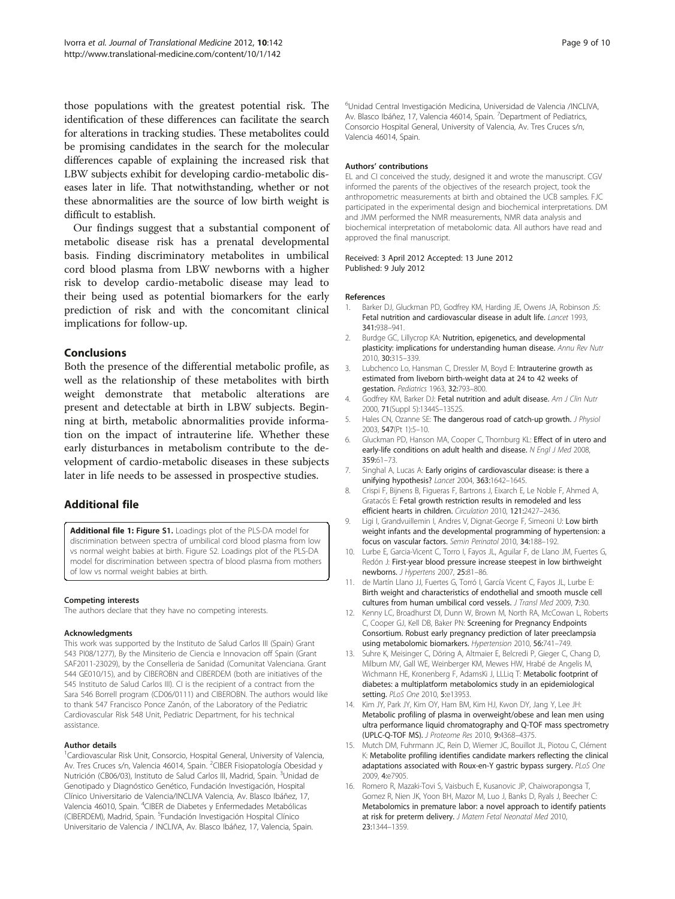<span id="page-8-0"></span>those populations with the greatest potential risk. The identification of these differences can facilitate the search for alterations in tracking studies. These metabolites could be promising candidates in the search for the molecular differences capable of explaining the increased risk that LBW subjects exhibit for developing cardio-metabolic diseases later in life. That notwithstanding, whether or not these abnormalities are the source of low birth weight is difficult to establish.

Our findings suggest that a substantial component of metabolic disease risk has a prenatal developmental basis. Finding discriminatory metabolites in umbilical cord blood plasma from LBW newborns with a higher risk to develop cardio-metabolic disease may lead to their being used as potential biomarkers for the early prediction of risk and with the concomitant clinical implications for follow-up.

#### Conclusions

Both the presence of the differential metabolic profile, as well as the relationship of these metabolites with birth weight demonstrate that metabolic alterations are present and detectable at birth in LBW subjects. Beginning at birth, metabolic abnormalities provide information on the impact of intrauterine life. Whether these early disturbances in metabolism contribute to the development of cardio-metabolic diseases in these subjects later in life needs to be assessed in prospective studies.

#### Additional file

[Additional file 1:](http://www.biomedcentral.com/content/supplementary/1479-5876-10-142-S1.doc) Figure S1. Loadings plot of the PLS-DA model for discrimination between spectra of umbilical cord blood plasma from low vs normal weight babies at birth. Figure S2. Loadings plot of the PLS-DA model for discrimination between spectra of blood plasma from mothers of low vs normal weight babies at birth.

#### Competing interests

The authors declare that they have no competing interests.

#### Acknowledgments

This work was supported by the Instituto de Salud Carlos III (Spain) Grant 543 PI08/1277), By the Minsiterio de Ciencia e Innovacion off Spain (Grant SAF2011-23029), by the Conselleria de Sanidad (Comunitat Valenciana. Grant 544 GE010/15), and by CIBEROBN and CIBERDEM (both are initiatives of the 545 Instituto de Salud Carlos III). CI is the recipient of a contract from the Sara 546 Borrell program (CD06/0111) and CIBEROBN. The authors would like to thank 547 Francisco Ponce Zanón, of the Laboratory of the Pediatric Cardiovascular Risk 548 Unit, Pediatric Department, for his technical assistance.

#### Author details

<sup>1</sup>Cardiovascular Risk Unit, Consorcio, Hospital General, University of Valencia, Av. Tres Cruces s/n, Valencia 46014, Spain. <sup>2</sup>CIBER Fisiopatología Obesidad y Nutrición (CB06/03), Instituto de Salud Carlos III, Madrid, Spain. <sup>3</sup>Unidad de Genotipado y Diagnóstico Genético, Fundación Investigación, Hospital Clínico Universitario de Valencia/INCLIVA Valencia, Av. Blasco Ibáñez, 17, Valencia 46010, Spain. <sup>4</sup>CIBER de Diabetes y Enfermedades Metabólicas (CIBERDEM), Madrid, Spain. <sup>5</sup>Fundación Investigación Hospital Clínico Universitario de Valencia / INCLIVA, Av. Blasco Ibáñez, 17, Valencia, Spain.

6 Unidad Central Investigación Medicina, Universidad de Valencia /INCLIVA, Av. Blasco Ibáñez, 17, Valencia 46014, Spain. <sup>7</sup> Department of Pediatrics Consorcio Hospital General, University of Valencia, Av. Tres Cruces s/n, Valencia 46014, Spain.

#### Authors' contributions

EL and CI conceived the study, designed it and wrote the manuscript. CGV informed the parents of the objectives of the research project, took the anthropometric measurements at birth and obtained the UCB samples. FJC participated in the experimental design and biochemical interpretations. DM and JMM performed the NMR measurements, NMR data analysis and biochemical interpretation of metabolomic data. All authors have read and approved the final manuscript.

#### Received: 3 April 2012 Accepted: 13 June 2012 Published: 9 July 2012

#### References

- 1. Barker DJ, Gluckman PD, Godfrey KM, Harding JE, Owens JA, Robinson JS: Fetal nutrition and cardiovascular disease in adult life. Lancet 1993, 341:938–941.
- 2. Burdge GC, Lillycrop KA: Nutrition, epigenetics, and developmental plasticity: implications for understanding human disease. Annu Rev Nutr 2010, 30:315–339.
- 3. Lubchenco Lo, Hansman C, Dressler M, Boyd E: Intrauterine growth as estimated from liveborn birth-weight data at 24 to 42 weeks of gestation. Pediatrics 1963, 32:793–800.
- Godfrey KM, Barker DJ: Fetal nutrition and adult disease. Am J Clin Nutr 2000, 71(Suppl 5):1344S–1352S.
- 5. Hales CN, Ozanne SE: The dangerous road of catch-up growth. J Physiol 2003, 547(Pt 1):5–10.
- 6. Gluckman PD, Hanson MA, Cooper C, Thornburg KL: Effect of in utero and early-life conditions on adult health and disease. N Engl J Med 2008, 359:61–73.
- 7. Singhal A, Lucas A: Early origins of cardiovascular disease: is there a unifying hypothesis? Lancet 2004, 363:1642–1645.
- 8. Crispi F, Bijnens B, Figueras F, Bartrons J, Eixarch E, Le Noble F, Ahmed A, Gratacós E: Fetal growth restriction results in remodeled and less efficient hearts in children. Circulation 2010, 121:2427–2436.
- 9. Ligi I, Grandvuillemin I, Andres V, Dignat-George F, Simeoni U: Low birth weight infants and the developmental programming of hypertension: a focus on vascular factors. Semin Perinatol 2010, 34:188–192.
- 10. Lurbe E, Garcia-Vicent C, Torro I, Fayos JL, Aguilar F, de Llano JM, Fuertes G, Redón J: First-year blood pressure increase steepest in low birthweight newborns. J Hypertens 2007, 25:81-86.
- 11. de Martín Llano JJ, Fuertes G, Torró I, García Vicent C, Fayos JL, Lurbe E: Birth weight and characteristics of endothelial and smooth muscle cell cultures from human umbilical cord vessels. J Transl Med 2009, 7:30.
- 12. Kenny LC, Broadhurst DI, Dunn W, Brown M, North RA, McCowan L, Roberts C, Cooper GJ, Kell DB, Baker PN: Screening for Pregnancy Endpoints Consortium. Robust early pregnancy prediction of later preeclampsia using metabolomic biomarkers. Hypertension 2010, 56:741–749.
- 13. Suhre K, Meisinger C, Döring A, Altmaier E, Belcredi P, Gieger C, Chang D, Milburn MV, Gall WE, Weinberger KM, Mewes HW, Hrabé de Angelis M, Wichmann HE, Kronenberg F, AdamsKi J, LLLiq T: Metabolic footprint of diabetes: a multiplatform metabolomics study in an epidemiological setting. PLoS One 2010, 5:e13953.
- 14. Kim JY, Park JY, Kim OY, Ham BM, Kim HJ, Kwon DY, Jang Y, Lee JH: Metabolic profiling of plasma in overweight/obese and lean men using ultra performance liquid chromatography and Q-TOF mass spectrometry (UPLC-Q-TOF MS). J Proteome Res 2010, 9:4368–4375.
- 15. Mutch DM, Fuhrmann JC, Rein D, Wiemer JC, Bouillot JL, Piotou C, Clément K: Metabolite profiling identifies candidate markers reflecting the clinical adaptations associated with Roux-en-Y gastric bypass surgery. PLoS One 2009, 4:e7905.
- 16. Romero R, Mazaki-Tovi S, Vaisbuch E, Kusanovic JP, Chaiworapongsa T, Gomez R, Nien JK, Yoon BH, Mazor M, Luo J, Banks D, Ryals J, Beecher C: Metabolomics in premature labor: a novel approach to identify patients at risk for preterm delivery. J Matern Fetal Neonatal Med 2010, 23:1344–1359.